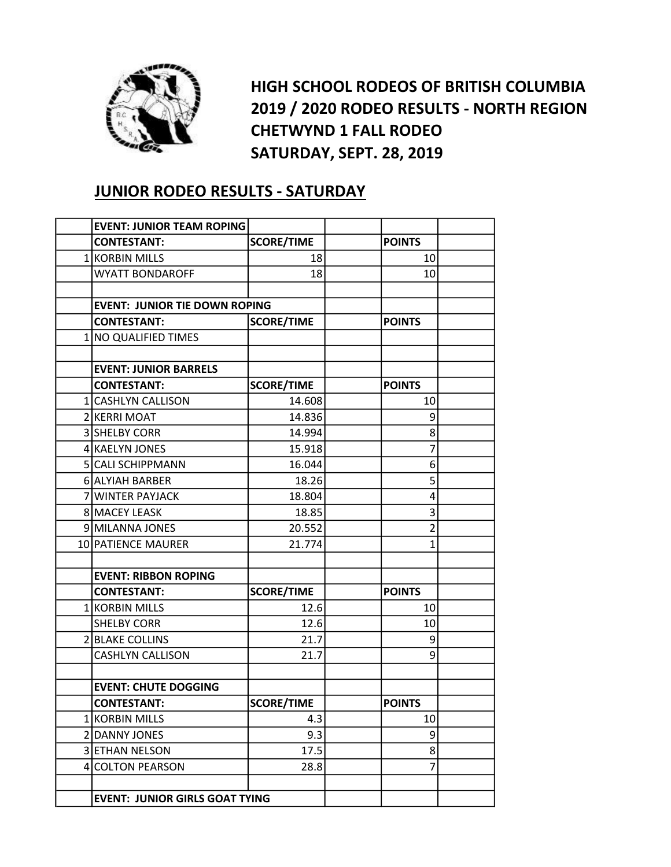

HIGH SCHOOL RODEOS OF BRITISH COLUMBIA 2019 / 2020 RODEO RESULTS - NORTH REGION CHETWYND 1 FALL RODEO SATURDAY, SEPT. 28, 2019

## JUNIOR RODEO RESULTS - SATURDAY

| <b>EVENT: JUNIOR TEAM ROPING</b>      |                   |                |  |
|---------------------------------------|-------------------|----------------|--|
| <b>CONTESTANT:</b>                    | <b>SCORE/TIME</b> | <b>POINTS</b>  |  |
| 1 KORBIN MILLS                        | 18                | 10             |  |
| <b>WYATT BONDAROFF</b>                | 18                | 10             |  |
|                                       |                   |                |  |
| <b>EVENT: JUNIOR TIE DOWN ROPING</b>  |                   |                |  |
| <b>CONTESTANT:</b>                    | <b>SCORE/TIME</b> | <b>POINTS</b>  |  |
| 1 NO QUALIFIED TIMES                  |                   |                |  |
|                                       |                   |                |  |
| <b>EVENT: JUNIOR BARRELS</b>          |                   |                |  |
| <b>CONTESTANT:</b>                    | <b>SCORE/TIME</b> | <b>POINTS</b>  |  |
| 1 CASHLYN CALLISON                    | 14.608            | 10             |  |
| 2 KERRI MOAT                          | 14.836            | 9              |  |
| 3 SHELBY CORR                         | 14.994            | 8              |  |
| 4 KAELYN JONES                        | 15.918            | 7              |  |
| 5 CALI SCHIPPMANN                     | 16.044            | 6              |  |
| 6 ALYIAH BARBER                       | 18.26             | 5              |  |
| 7 WINTER PAYJACK                      | 18.804            | 4              |  |
| 8 MACEY LEASK                         | 18.85             | 3              |  |
| 9 MILANNA JONES                       | 20.552            | $\overline{2}$ |  |
| 10 PATIENCE MAURER                    | 21.774            | 1              |  |
|                                       |                   |                |  |
| <b>EVENT: RIBBON ROPING</b>           |                   |                |  |
| <b>CONTESTANT:</b>                    | <b>SCORE/TIME</b> | <b>POINTS</b>  |  |
| 1 KORBIN MILLS                        | 12.6              | 10             |  |
| <b>SHELBY CORR</b>                    | 12.6              | 10             |  |
| 2 BLAKE COLLINS                       | 21.7              | 9              |  |
| <b>CASHLYN CALLISON</b>               | 21.7              | 9              |  |
|                                       |                   |                |  |
| <b>EVENT: CHUTE DOGGING</b>           |                   |                |  |
| <b>CONTESTANT:</b>                    | <b>SCORE/TIME</b> | <b>POINTS</b>  |  |
| 1 KORBIN MILLS                        | 4.3               | 10             |  |
| 2 DANNY JONES                         | 9.3               | 9              |  |
| 3 ETHAN NELSON                        | 17.5              | 8 <sup>1</sup> |  |
| 4 COLTON PEARSON                      | 28.8              | $\overline{7}$ |  |
|                                       |                   |                |  |
| <b>EVENT: JUNIOR GIRLS GOAT TYING</b> |                   |                |  |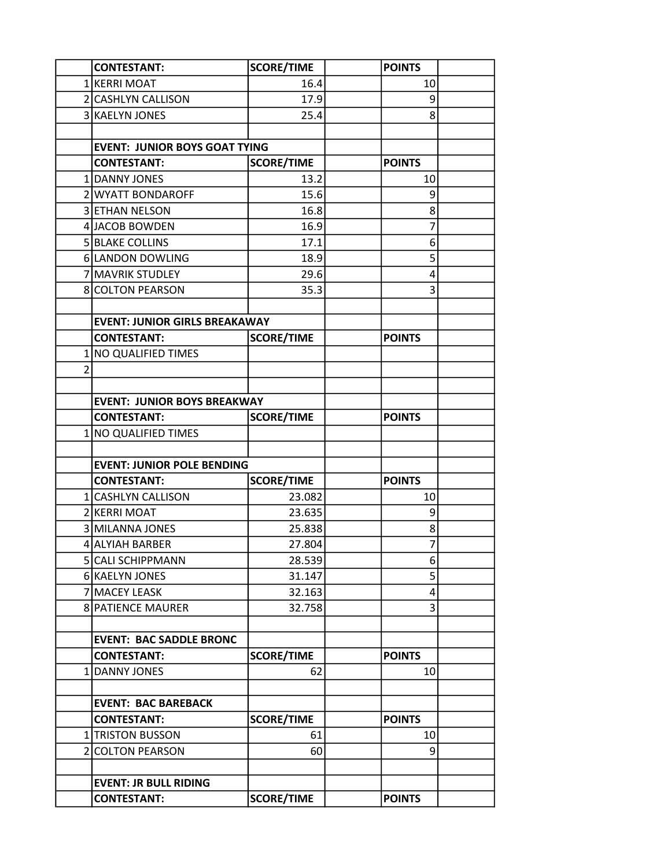|   | <b>CONTESTANT:</b>                                      | <b>SCORE/TIME</b> | <b>POINTS</b>  |  |
|---|---------------------------------------------------------|-------------------|----------------|--|
|   | 1 KERRI MOAT                                            | 16.4              | 10             |  |
|   | 2 CASHLYN CALLISON                                      | 17.9              | 9              |  |
|   | 3 KAELYN JONES                                          | 25.4              | 8              |  |
|   |                                                         |                   |                |  |
|   | <b>EVENT: JUNIOR BOYS GOAT TYING</b>                    |                   |                |  |
|   | <b>CONTESTANT:</b>                                      | <b>SCORE/TIME</b> | <b>POINTS</b>  |  |
|   | 1 DANNY JONES                                           | 13.2              | 10             |  |
|   | 2 WYATT BONDAROFF                                       | 15.6              | 9              |  |
|   | 3 ETHAN NELSON                                          | 16.8              | 8              |  |
|   | 4 JACOB BOWDEN                                          | 16.9              | 7              |  |
|   | 5 BLAKE COLLINS                                         | 17.1              | 6              |  |
|   | 6 LANDON DOWLING                                        | 18.9              | 5              |  |
|   | 7 MAVRIK STUDLEY                                        | 29.6              | 4              |  |
|   | <b>8 COLTON PEARSON</b>                                 | 35.3              | 3              |  |
|   |                                                         |                   |                |  |
|   | <b>EVENT: JUNIOR GIRLS BREAKAWAY</b>                    |                   |                |  |
|   | <b>CONTESTANT:</b>                                      | <b>SCORE/TIME</b> | <b>POINTS</b>  |  |
|   | 1 NO QUALIFIED TIMES                                    |                   |                |  |
| 2 |                                                         |                   |                |  |
|   |                                                         |                   |                |  |
|   | <b>EVENT: JUNIOR BOYS BREAKWAY</b>                      |                   |                |  |
|   | <b>CONTESTANT:</b>                                      | <b>SCORE/TIME</b> | <b>POINTS</b>  |  |
|   | 1 NO QUALIFIED TIMES                                    |                   |                |  |
|   |                                                         |                   |                |  |
|   | <b>EVENT: JUNIOR POLE BENDING</b><br><b>CONTESTANT:</b> | <b>SCORE/TIME</b> | <b>POINTS</b>  |  |
|   | 1 CASHLYN CALLISON                                      | 23.082            | 10             |  |
|   | 2 KERRI MOAT                                            | 23.635            | 9              |  |
|   | 3 MILANNA JONES                                         | 25.838            | 8              |  |
|   | 4 ALYIAH BARBER                                         | 27.804            | $\overline{7}$ |  |
|   | 5 CALI SCHIPPMANN                                       | 28.539            | 6              |  |
|   | 6 KAELYN JONES                                          | 31.147            | 5              |  |
|   | 7 MACEY LEASK                                           | 32.163            | 4              |  |
|   | <b>8 PATIENCE MAURER</b>                                | 32.758            | 3              |  |
|   |                                                         |                   |                |  |
|   | <b>EVENT: BAC SADDLE BRONC</b>                          |                   |                |  |
|   | <b>CONTESTANT:</b>                                      | <b>SCORE/TIME</b> | <b>POINTS</b>  |  |
|   | 1 DANNY JONES                                           | 62                | 10             |  |
|   |                                                         |                   |                |  |
|   | <b>EVENT: BAC BAREBACK</b>                              |                   |                |  |
|   | <b>CONTESTANT:</b>                                      | <b>SCORE/TIME</b> | <b>POINTS</b>  |  |
|   | 1 TRISTON BUSSON                                        | 61                | 10             |  |
|   | 2 COLTON PEARSON                                        | 60                | 9              |  |
|   |                                                         |                   |                |  |
|   | <b>EVENT: JR BULL RIDING</b>                            |                   |                |  |
|   | <b>CONTESTANT:</b>                                      | <b>SCORE/TIME</b> | <b>POINTS</b>  |  |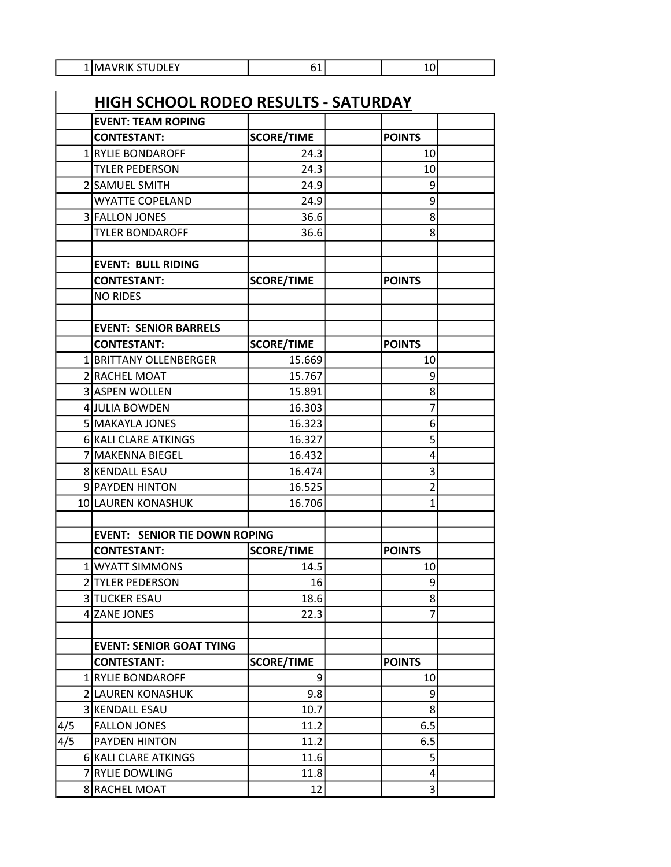| טו ו<br><br>.<br>-<br>.<br>$\sim$ |  | . . |  |
|-----------------------------------|--|-----|--|
|                                   |  |     |  |

|     | <u>HIGH SCHOOL RODEO RESULTS - SATURDAY</u> |                   |                |  |
|-----|---------------------------------------------|-------------------|----------------|--|
|     | <b>EVENT: TEAM ROPING</b>                   |                   |                |  |
|     | <b>CONTESTANT:</b>                          | <b>SCORE/TIME</b> | <b>POINTS</b>  |  |
|     | 1 RYLIE BONDAROFF                           | 24.3              | 10             |  |
|     | <b>TYLER PEDERSON</b>                       | 24.3              | 10             |  |
|     | 2 SAMUEL SMITH                              | 24.9              | 9              |  |
|     | <b>WYATTE COPELAND</b>                      | 24.9              | 9              |  |
|     | 3 FALLON JONES                              | 36.6              | 8              |  |
|     | <b>TYLER BONDAROFF</b>                      | 36.6              | 8              |  |
|     |                                             |                   |                |  |
|     | <b>EVENT: BULL RIDING</b>                   |                   |                |  |
|     | <b>CONTESTANT:</b>                          | <b>SCORE/TIME</b> | <b>POINTS</b>  |  |
|     | <b>NO RIDES</b>                             |                   |                |  |
|     |                                             |                   |                |  |
|     | <b>EVENT: SENIOR BARRELS</b>                |                   |                |  |
|     | <b>CONTESTANT:</b>                          | <b>SCORE/TIME</b> | <b>POINTS</b>  |  |
|     | 1 BRITTANY OLLENBERGER                      | 15.669            | 10             |  |
|     | 2 RACHEL MOAT                               | 15.767            | 9              |  |
|     | 3 ASPEN WOLLEN                              | 15.891            | 8              |  |
|     | 4 JULIA BOWDEN                              | 16.303            | 7              |  |
|     | 5 MAKAYLA JONES                             | 16.323            | 6              |  |
|     | 6 KALI CLARE ATKINGS                        | 16.327            | 5              |  |
|     | 7 MAKENNA BIEGEL                            | 16.432            | 4              |  |
|     | 8 KENDALL ESAU                              | 16.474            | 3              |  |
|     | 9 PAYDEN HINTON                             | 16.525            | $\overline{2}$ |  |
|     | 10 LAUREN KONASHUK                          | 16.706            | 1              |  |
|     |                                             |                   |                |  |
|     | <b>EVENT: SENIOR TIE DOWN ROPING</b>        |                   |                |  |
|     | <b>CONTESTANT:</b>                          | <b>SCORE/TIME</b> | <b>POINTS</b>  |  |
|     | 1 WYATT SIMMONS                             | 14.5              | 10             |  |
|     | 2 TYLER PEDERSON                            | 16                | 9              |  |
|     | 3 TUCKER ESAU                               | 18.6              | 8              |  |
|     | 4 ZANE JONES                                | 22.3              | 7              |  |
|     |                                             |                   |                |  |
|     | <b>EVENT: SENIOR GOAT TYING</b>             |                   |                |  |
|     | <b>CONTESTANT:</b>                          | <b>SCORE/TIME</b> | <b>POINTS</b>  |  |
|     | 1 RYLIE BONDAROFF                           | 9                 | 10             |  |
|     | 2 LAUREN KONASHUK                           | 9.8               | 9              |  |
|     | 3 KENDALL ESAU                              | 10.7              | 8              |  |
| 4/5 | <b>FALLON JONES</b>                         | 11.2              | 6.5            |  |
| 4/5 | PAYDEN HINTON                               | 11.2              | 6.5            |  |
|     | 6 KALI CLARE ATKINGS                        | 11.6              | 5              |  |
|     | 7 RYLIE DOWLING                             | 11.8              | 4              |  |
|     | 8 RACHEL MOAT                               | 12                | 3              |  |

 $\overline{a}$ 

Ξ

Ξ

ī

Ξ